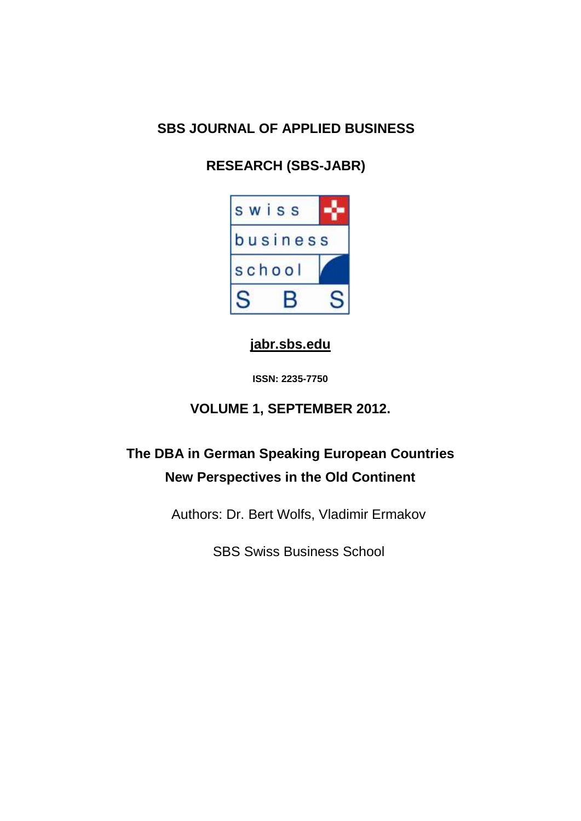## **SBS JOURNAL OF APPLIED BUSINESS**

# **RESEARCH (SBS-JABR)**



### **[jabr.sbs.edu](http://www.jabr.sbs.edu/)**

**ISSN: 2235-7750**

## **VOLUME 1, SEPTEMBER 2012.**

# **The DBA in German Speaking European Countries New Perspectives in the Old Continent**

Authors: Dr. Bert Wolfs, Vladimir Ermakov

SBS Swiss Business School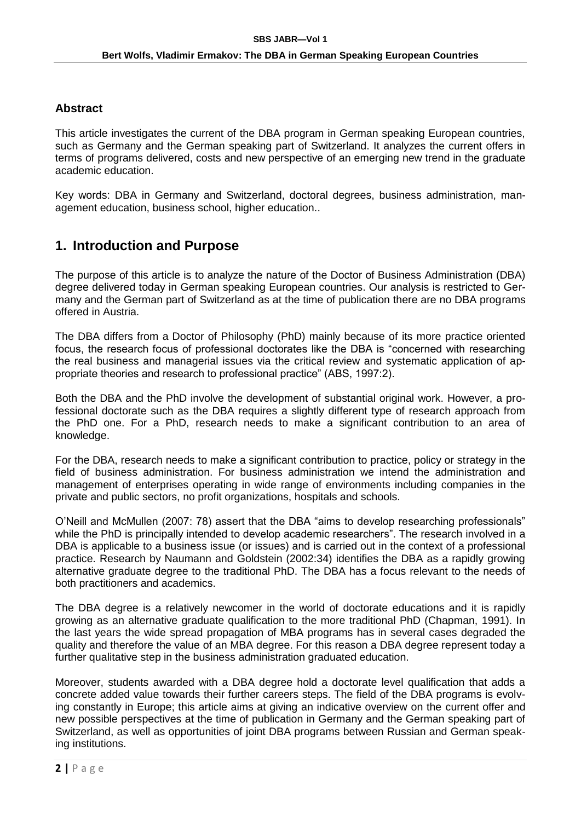#### **Abstract**

This article investigates the current of the DBA program in German speaking European countries, such as Germany and the German speaking part of Switzerland. It analyzes the current offers in terms of programs delivered, costs and new perspective of an emerging new trend in the graduate academic education.

Key words: DBA in Germany and Switzerland, doctoral degrees, business administration, management education, business school, higher education..

### **1. Introduction and Purpose**

The purpose of this article is to analyze the nature of the Doctor of Business Administration (DBA) degree delivered today in German speaking European countries. Our analysis is restricted to Germany and the German part of Switzerland as at the time of publication there are no DBA programs offered in Austria.

The DBA differs from a Doctor of Philosophy (PhD) mainly because of its more practice oriented focus, the research focus of professional doctorates like the DBA is "concerned with researching the real business and managerial issues via the critical review and systematic application of appropriate theories and research to professional practice" (ABS, 1997:2).

Both the DBA and the PhD involve the development of substantial original work. However, a professional doctorate such as the DBA requires a slightly different type of research approach from the PhD one. For a PhD, research needs to make a significant contribution to an area of knowledge.

For the DBA, research needs to make a significant contribution to practice, policy or strategy in the field of business administration. For business administration we intend the administration and management of enterprises operating in wide range of environments including companies in the private and public sectors, no profit organizations, hospitals and schools.

O'Neill and McMullen (2007: 78) assert that the DBA "aims to develop researching professionals" while the PhD is principally intended to develop academic researchers". The research involved in a DBA is applicable to a business issue (or issues) and is carried out in the context of a professional practice. Research by Naumann and Goldstein (2002:34) identifies the DBA as a rapidly growing alternative graduate degree to the traditional PhD. The DBA has a focus relevant to the needs of both practitioners and academics.

The DBA degree is a relatively newcomer in the world of doctorate educations and it is rapidly growing as an alternative graduate qualification to the more traditional PhD (Chapman, 1991). In the last years the wide spread propagation of MBA programs has in several cases degraded the quality and therefore the value of an MBA degree. For this reason a DBA degree represent today a further qualitative step in the business administration graduated education.

Moreover, students awarded with a DBA degree hold a doctorate level qualification that adds a concrete added value towards their further careers steps. The field of the DBA programs is evolving constantly in Europe; this article aims at giving an indicative overview on the current offer and new possible perspectives at the time of publication in Germany and the German speaking part of Switzerland, as well as opportunities of joint DBA programs between Russian and German speaking institutions.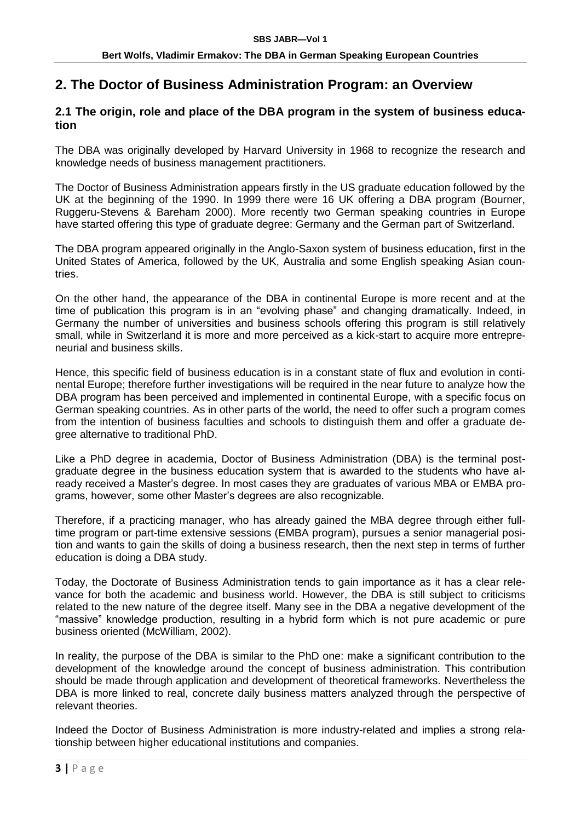### **2. The Doctor of Business Administration Program: an Overview**

#### **2.1 The origin, role and place of the DBA program in the system of business education**

The DBA was originally developed by Harvard University in 1968 to recognize the research and knowledge needs of business management practitioners.

The Doctor of Business Administration appears firstly in the US graduate education followed by the UK at the beginning of the 1990. In 1999 there were 16 UK offering a DBA program (Bourner, Ruggeru-Stevens & Bareham 2000). More recently two German speaking countries in Europe have started offering this type of graduate degree: Germany and the German part of Switzerland.

The DBA program appeared originally in the Anglo-Saxon system of business education, first in the United States of America, followed by the UK, Australia and some English speaking Asian countries.

On the other hand, the appearance of the DBA in continental Europe is more recent and at the time of publication this program is in an "evolving phase" and changing dramatically. Indeed, in Germany the number of universities and business schools offering this program is still relatively small, while in Switzerland it is more and more perceived as a kick-start to acquire more entrepreneurial and business skills.

Hence, this specific field of business education is in a constant state of flux and evolution in continental Europe; therefore further investigations will be required in the near future to analyze how the DBA program has been perceived and implemented in continental Europe, with a specific focus on German speaking countries. As in other parts of the world, the need to offer such a program comes from the intention of business faculties and schools to distinguish them and offer a graduate degree alternative to traditional PhD.

Like a PhD degree in academia, Doctor of Business Administration (DBA) is the terminal postgraduate degree in the business education system that is awarded to the students who have already received a Master's degree. In most cases they are graduates of various MBA or EMBA programs, however, some other Master's degrees are also recognizable.

Therefore, if a practicing manager, who has already gained the MBA degree through either fulltime program or part-time extensive sessions (EMBA program), pursues a senior managerial position and wants to gain the skills of doing a business research, then the next step in terms of further education is doing a DBA study.

Today, the Doctorate of Business Administration tends to gain importance as it has a clear relevance for both the academic and business world. However, the DBA is still subject to criticisms related to the new nature of the degree itself. Many see in the DBA a negative development of the "massive" knowledge production, resulting in a hybrid form which is not pure academic or pure business oriented (McWilliam, 2002).

In reality, the purpose of the DBA is similar to the PhD one: make a significant contribution to the development of the knowledge around the concept of business administration. This contribution should be made through application and development of theoretical frameworks. Nevertheless the DBA is more linked to real, concrete daily business matters analyzed through the perspective of relevant theories.

Indeed the Doctor of Business Administration is more industry-related and implies a strong relationship between higher educational institutions and companies.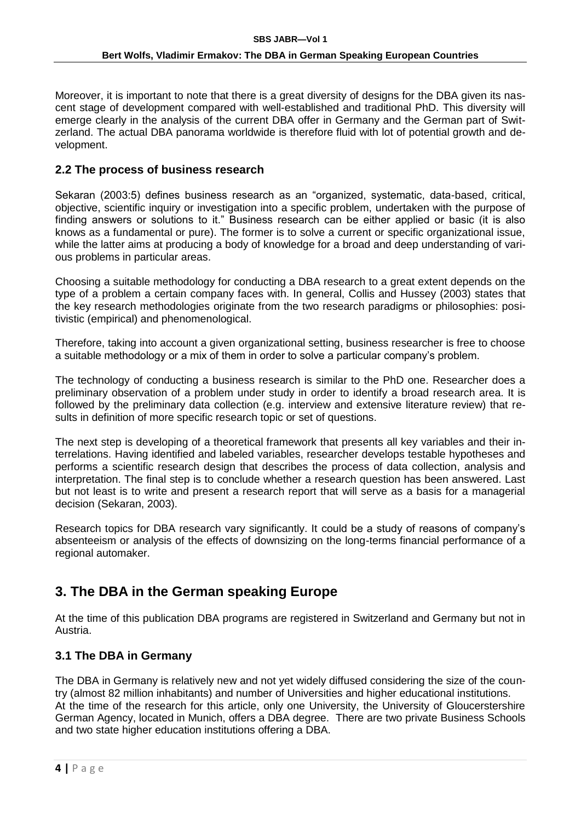Moreover, it is important to note that there is a great diversity of designs for the DBA given its nascent stage of development compared with well-established and traditional PhD. This diversity will emerge clearly in the analysis of the current DBA offer in Germany and the German part of Switzerland. The actual DBA panorama worldwide is therefore fluid with lot of potential growth and development.

#### **2.2 The process of business research**

Sekaran (2003:5) defines business research as an "organized, systematic, data-based, critical, objective, scientific inquiry or investigation into a specific problem, undertaken with the purpose of finding answers or solutions to it." Business research can be either applied or basic (it is also knows as a fundamental or pure). The former is to solve a current or specific organizational issue, while the latter aims at producing a body of knowledge for a broad and deep understanding of various problems in particular areas.

Choosing a suitable methodology for conducting a DBA research to a great extent depends on the type of a problem a certain company faces with. In general, Collis and Hussey (2003) states that the key research methodologies originate from the two research paradigms or philosophies: positivistic (empirical) and phenomenological.

Therefore, taking into account a given organizational setting, business researcher is free to choose a suitable methodology or a mix of them in order to solve a particular company's problem.

The technology of conducting a business research is similar to the PhD one. Researcher does a preliminary observation of a problem under study in order to identify a broad research area. It is followed by the preliminary data collection (e.g. interview and extensive literature review) that results in definition of more specific research topic or set of questions.

The next step is developing of a theoretical framework that presents all key variables and their interrelations. Having identified and labeled variables, researcher develops testable hypotheses and performs a scientific research design that describes the process of data collection, analysis and interpretation. The final step is to conclude whether a research question has been answered. Last but not least is to write and present a research report that will serve as a basis for a managerial decision (Sekaran, 2003).

Research topics for DBA research vary significantly. It could be a study of reasons of company's absenteeism or analysis of the effects of downsizing on the long-terms financial performance of a regional automaker.

### **3. The DBA in the German speaking Europe**

At the time of this publication DBA programs are registered in Switzerland and Germany but not in Austria.

#### **3.1 The DBA in Germany**

The DBA in Germany is relatively new and not yet widely diffused considering the size of the country (almost 82 million inhabitants) and number of Universities and higher educational institutions. At the time of the research for this article, only one University, the University of Gloucerstershire German Agency, located in Munich, offers a DBA degree. There are two private Business Schools and two state higher education institutions offering a DBA.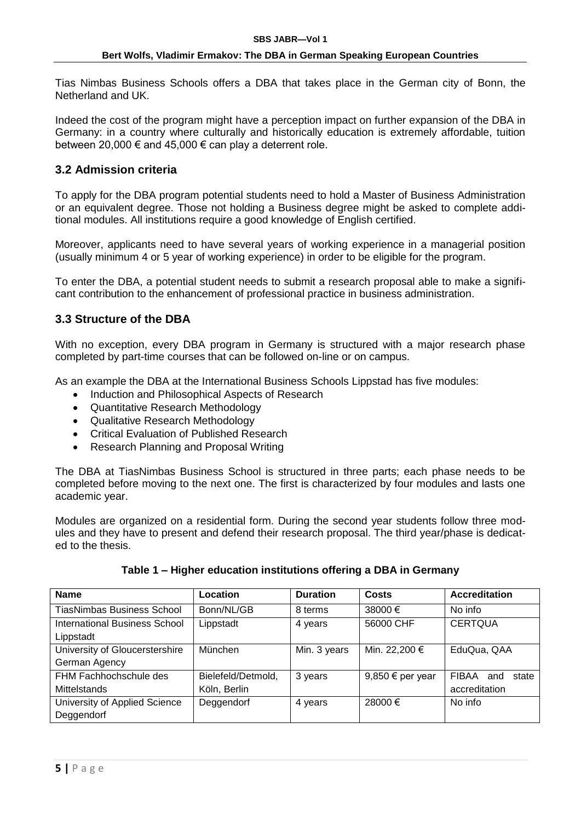Tias Nimbas Business Schools offers a DBA that takes place in the German city of Bonn, the Netherland and UK.

Indeed the cost of the program might have a perception impact on further expansion of the DBA in Germany: in a country where culturally and historically education is extremely affordable, tuition between 20,000  $\epsilon$  and 45,000  $\epsilon$  can play a deterrent role.

#### **3.2 Admission criteria**

To apply for the DBA program potential students need to hold a Master of Business Administration or an equivalent degree. Those not holding a Business degree might be asked to complete additional modules. All institutions require a good knowledge of English certified.

Moreover, applicants need to have several years of working experience in a managerial position (usually minimum 4 or 5 year of working experience) in order to be eligible for the program.

To enter the DBA, a potential student needs to submit a research proposal able to make a significant contribution to the enhancement of professional practice in business administration.

#### **3.3 Structure of the DBA**

With no exception, every DBA program in Germany is structured with a major research phase completed by part-time courses that can be followed on-line or on campus.

As an example the DBA at the International Business Schools Lippstad has five modules:

- Induction and Philosophical Aspects of Research
- Quantitative Research Methodology
- Qualitative Research Methodology
- Critical Evaluation of Published Research
- Research Planning and Proposal Writing

The DBA at TiasNimbas Business School is structured in three parts; each phase needs to be completed before moving to the next one. The first is characterized by four modules and lasts one academic year.

Modules are organized on a residential form. During the second year students follow three modules and they have to present and defend their research proposal. The third year/phase is dedicated to the thesis.

| <b>Name</b>                                     | Location                           | <b>Duration</b> | <b>Costs</b>              | <b>Accreditation</b>                   |
|-------------------------------------------------|------------------------------------|-----------------|---------------------------|----------------------------------------|
| <b>TiasNimbas Business School</b>               | Bonn/NL/GB                         | 8 terms         | 38000 €                   | No info                                |
| International Business School<br>Lippstadt      | Lippstadt                          | 4 years         | 56000 CHF                 | <b>CERTQUA</b>                         |
| University of Gloucerstershire<br>German Agency | München                            | Min. 3 years    | Min. 22,200 €             | EduQua, QAA                            |
| FHM Fachhochschule des<br><b>Mittelstands</b>   | Bielefeld/Detmold,<br>Köln, Berlin | 3 years         | 9,850 $\epsilon$ per year | FIBAA<br>and<br>state<br>accreditation |
| University of Applied Science<br>Deggendorf     | Deggendorf                         | 4 years         | 28000€                    | No info                                |

#### **Table 1 – Higher education institutions offering a DBA in Germany**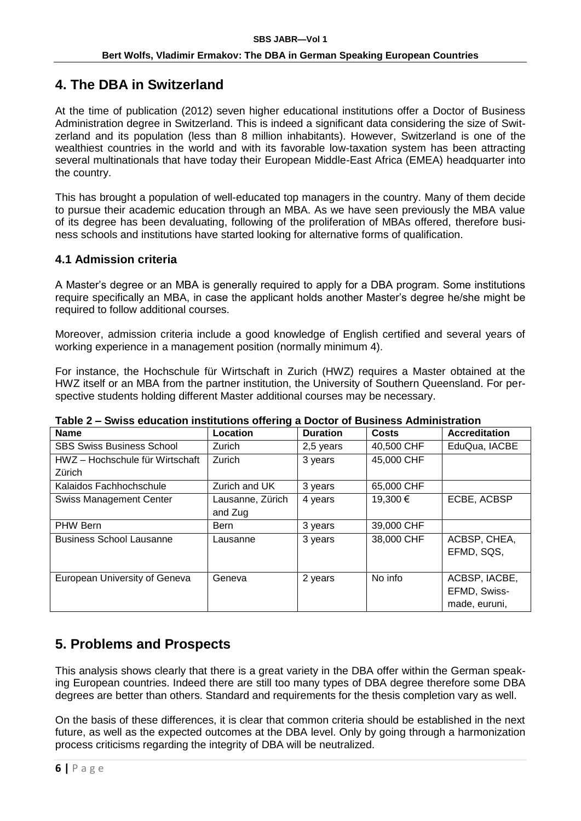### **4. The DBA in Switzerland**

At the time of publication (2012) seven higher educational institutions offer a Doctor of Business Administration degree in Switzerland. This is indeed a significant data considering the size of Switzerland and its population (less than 8 million inhabitants). However, Switzerland is one of the wealthiest countries in the world and with its favorable low-taxation system has been attracting several multinationals that have today their European Middle-East Africa (EMEA) headquarter into the country.

This has brought a population of well-educated top managers in the country. Many of them decide to pursue their academic education through an MBA. As we have seen previously the MBA value of its degree has been devaluating, following of the proliferation of MBAs offered, therefore business schools and institutions have started looking for alternative forms of qualification.

#### **4.1 Admission criteria**

A Master's degree or an MBA is generally required to apply for a DBA program. Some institutions require specifically an MBA, in case the applicant holds another Master's degree he/she might be required to follow additional courses.

Moreover, admission criteria include a good knowledge of English certified and several years of working experience in a management position (normally minimum 4).

For instance, the Hochschule für Wirtschaft in Zurich (HWZ) requires a Master obtained at the HWZ itself or an MBA from the partner institution, the University of Southern Queensland. For perspective students holding different Master additional courses may be necessary.

| I UMW E                          |                  |                 |            |                      |  |  |
|----------------------------------|------------------|-----------------|------------|----------------------|--|--|
| <b>Name</b>                      | Location         | <b>Duration</b> | Costs      | <b>Accreditation</b> |  |  |
| <b>SBS Swiss Business School</b> | Zurich           | 2,5 years       | 40,500 CHF | EduQua, IACBE        |  |  |
| HWZ – Hochschule für Wirtschaft  | Zurich           | 3 years         | 45,000 CHF |                      |  |  |
| Zürich                           |                  |                 |            |                      |  |  |
| Kalaidos Fachhochschule          | Zurich and UK    | 3 years         | 65,000 CHF |                      |  |  |
| <b>Swiss Management Center</b>   | Lausanne, Zürich | 4 years         | 19,300 €   | ECBE, ACBSP          |  |  |
|                                  | and Zug          |                 |            |                      |  |  |
| PHW Bern                         | <b>Bern</b>      | 3 years         | 39,000 CHF |                      |  |  |
| <b>Business School Lausanne</b>  | Lausanne         | 3 years         | 38,000 CHF | ACBSP, CHEA,         |  |  |
|                                  |                  |                 |            | EFMD, SQS,           |  |  |
|                                  |                  |                 |            |                      |  |  |
| European University of Geneva    | Geneva           | 2 years         | No info    | ACBSP, IACBE,        |  |  |
|                                  |                  |                 |            | EFMD, Swiss-         |  |  |
|                                  |                  |                 |            | made, euruni,        |  |  |

**Table 2 – Swiss education institutions offering a Doctor of Business Administration** 

### **5. Problems and Prospects**

This analysis shows clearly that there is a great variety in the DBA offer within the German speaking European countries. Indeed there are still too many types of DBA degree therefore some DBA degrees are better than others. Standard and requirements for the thesis completion vary as well.

On the basis of these differences, it is clear that common criteria should be established in the next future, as well as the expected outcomes at the DBA level. Only by going through a harmonization process criticisms regarding the integrity of DBA will be neutralized.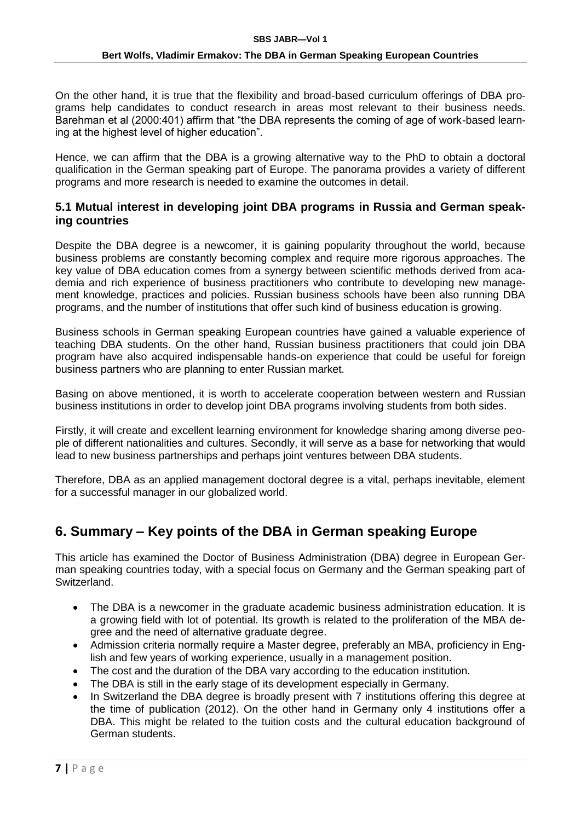On the other hand, it is true that the flexibility and broad-based curriculum offerings of DBA programs help candidates to conduct research in areas most relevant to their business needs. Barehman et al (2000:401) affirm that "the DBA represents the coming of age of work-based learning at the highest level of higher education".

Hence, we can affirm that the DBA is a growing alternative way to the PhD to obtain a doctoral qualification in the German speaking part of Europe. The panorama provides a variety of different programs and more research is needed to examine the outcomes in detail.

#### **5.1 Mutual interest in developing joint DBA programs in Russia and German speaking countries**

Despite the DBA degree is a newcomer, it is gaining popularity throughout the world, because business problems are constantly becoming complex and require more rigorous approaches. The key value of DBA education comes from a synergy between scientific methods derived from academia and rich experience of business practitioners who contribute to developing new management knowledge, practices and policies. Russian business schools have been also running DBA programs, and the number of institutions that offer such kind of business education is growing.

Business schools in German speaking European countries have gained a valuable experience of teaching DBA students. On the other hand, Russian business practitioners that could join DBA program have also acquired indispensable hands-on experience that could be useful for foreign business partners who are planning to enter Russian market.

Basing on above mentioned, it is worth to accelerate cooperation between western and Russian business institutions in order to develop joint DBA programs involving students from both sides.

Firstly, it will create and excellent learning environment for knowledge sharing among diverse people of different nationalities and cultures. Secondly, it will serve as a base for networking that would lead to new business partnerships and perhaps joint ventures between DBA students.

Therefore, DBA as an applied management doctoral degree is a vital, perhaps inevitable, element for a successful manager in our globalized world.

### **6. Summary – Key points of the DBA in German speaking Europe**

This article has examined the Doctor of Business Administration (DBA) degree in European German speaking countries today, with a special focus on Germany and the German speaking part of Switzerland.

- The DBA is a newcomer in the graduate academic business administration education. It is a growing field with lot of potential. Its growth is related to the proliferation of the MBA degree and the need of alternative graduate degree.
- Admission criteria normally require a Master degree, preferably an MBA, proficiency in English and few years of working experience, usually in a management position.
- The cost and the duration of the DBA vary according to the education institution.
- The DBA is still in the early stage of its development especially in Germany.
- In Switzerland the DBA degree is broadly present with 7 institutions offering this degree at the time of publication (2012). On the other hand in Germany only 4 institutions offer a DBA. This might be related to the tuition costs and the cultural education background of German students.